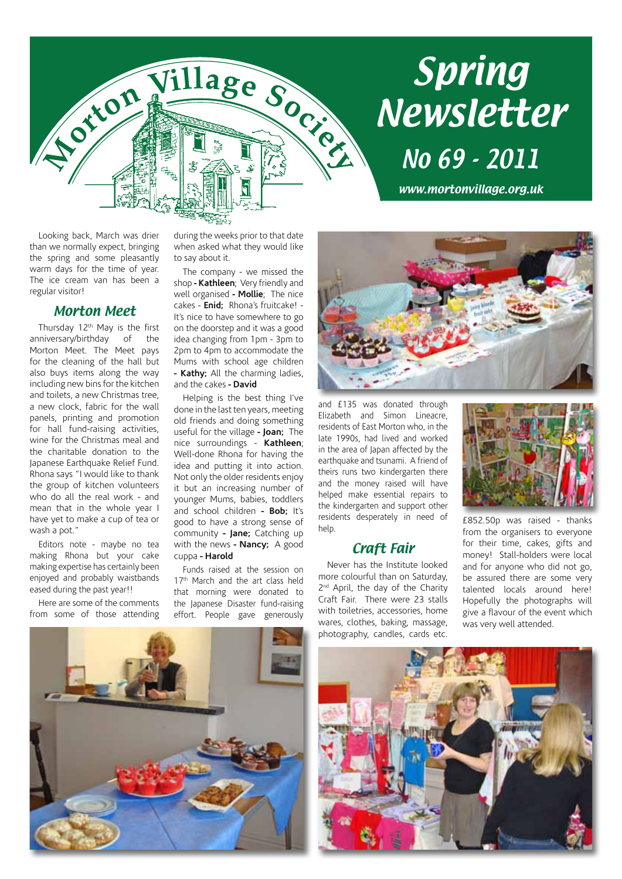

# Spring Newsletter No 69 - 2011

www.mortonvillage.org.uk

Looking back, March was drier than we normally expect, bringing the spring and some pleasantly warm days for the time of year. The ice cream van has been a regular visitor!

#### Morton Meet

Thursday 12<sup>th</sup> May is the first anniversary/birthday of the Morton Meet. The Meet pays for the cleaning of the hall but also buys items along the way including new bins for the kitchen and toilets, a new Christmas tree, a new clock, fabric for the wall panels, printing and promotion for hall fund-raising activities, wine for the Christmas meal and the charitable donation to the Japanese Earthquake Relief Fund. Rhona says "I would like to thank the group of kitchen volunteers who do all the real work - and mean that in the whole year I have yet to make a cup of tea or wash a pot."

Editors note - maybe no tea making Rhona but your cake making expertise has certainly been enjoyed and probably waistbands eased during the past year!!

Here are some of the comments from some of those attending during the weeks prior to that date when asked what they would like to say about it.

The company - we missed the shop **- Kathleen**; Very friendly and well organised **- Mollie**; The nice cakes - **Enid;** Rhona's fruitcake! - It's nice to have somewhere to go on the doorstep and it was a good idea changing from 1pm - 3pm to 2pm to 4pm to accommodate the Mums with school age children **- Kathy;** All the charming ladies, and the cakes **- David**

Helping is the best thing I've done in the last ten years, meeting old friends and doing something useful for the village **- Joan;** The nice surroundings - **Kathleen**; Well-done Rhona for having the idea and putting it into action. Not only the older residents enjoy it but an increasing number of younger Mums, babies, toddlers and school children **- Bob;** It's good to have a strong sense of community **- Jane;** Catching up with the news **- Nancy;** A good cuppa **- Harold**

Funds raised at the session on 17<sup>th</sup> March and the art class held that morning were donated to the Japanese Disaster fund-raising effort. People gave generously

and £135 was donated through Elizabeth and Simon Lineacre, residents of East Morton who, in the late 1990s, had lived and worked in the area of Japan affected by the earthquake and tsunami. A friend of theirs runs two kindergarten there and the money raised will have helped make essential repairs to the kindergarten and support other residents desperately in need of help.

#### Craft Fair

Never has the Institute looked more colourful than on Saturday, 2<sup>nd</sup> April, the day of the Charity Craft Fair. There were 23 stalls with toiletries, accessories, home wares, clothes, baking, massage, photography, candles, cards etc.



£852.50p was raised - thanks from the organisers to everyone for their time, cakes, gifts and money! Stall-holders were local and for anyone who did not go, be assured there are some very talented locals around here! Hopefully the photographs will give a flavour of the event which was very well attended.



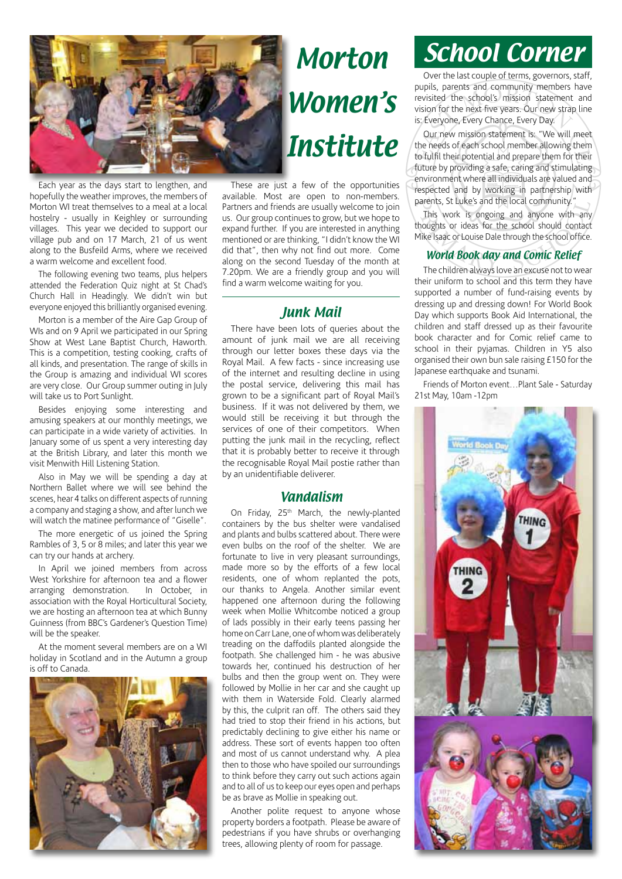

Each year as the days start to lengthen, and hopefully the weather improves, the members of Morton WI treat themselves to a meal at a local hostelry - usually in Keighley or surrounding villages. This year we decided to support our village pub and on 17 March, 21 of us went along to the Busfeild Arms, where we received a warm welcome and excellent food.

The following evening two teams, plus helpers attended the Federation Quiz night at St Chad's Church Hall in Headingly. We didn't win but everyone enjoyed this brilliantly organised evening.

Morton is a member of the Aire Gap Group of WIs and on 9 April we participated in our Spring Show at West Lane Baptist Church, Haworth. This is a competition, testing cooking, crafts of all kinds, and presentation. The range of skills in the Group is amazing and individual WI scores are very close. Our Group summer outing in July will take us to Port Sunlight.

Besides enjoying some interesting and amusing speakers at our monthly meetings, we can participate in a wide variety of activities. In January some of us spent a very interesting day at the British Library, and later this month we visit Menwith Hill Listening Station.

Also in May we will be spending a day at Northern Ballet where we will see behind the scenes, hear 4 talks on different aspects of running a company and staging a show, and after lunch we will watch the matinee performance of "Giselle".

The more energetic of us joined the Spring Rambles of 3, 5 or 8 miles; and later this year we can try our hands at archery.

In April we joined members from across West Yorkshire for afternoon tea and a flower<br>arranging demonstration In October in arranging demonstration. association with the Royal Horticultural Society, we are hosting an afternoon tea at which Bunny Guinness (from BBC's Gardener's Question Time) will be the speaker.

At the moment several members are on a WI holiday in Scotland and in the Autumn a group is off to Canada.



# Morton Women's Institute

These are just a few of the opportunities available. Most are open to non-members. Partners and friends are usually welcome to join us. Our group continues to grow, but we hope to expand further. If you are interested in anything mentioned or are thinking, "I didn't know the WI did that", then why not find out more. Come along on the second Tuesday of the month at 7.20pm. We are a friendly group and you will find a warm welcome waiting for you.

#### Junk Mail

There have been lots of queries about the amount of junk mail we are all receiving through our letter boxes these days via the Royal Mail. A few facts - since increasing use of the internet and resulting decline in using the postal service, delivering this mail has grown to be a significant part of Royal Mail's business. If it was not delivered by them, we would still be receiving it but through the services of one of their competitors. When putting the junk mail in the recycling, reflect that it is probably better to receive it through the recognisable Royal Mail postie rather than by an unidentifiable deliverer.

#### Vandalism

On Friday, 25<sup>th</sup> March, the newly-planted containers by the bus shelter were vandalised and plants and bulbs scattered about. There were even bulbs on the roof of the shelter. We are fortunate to live in very pleasant surroundings, made more so by the efforts of a few local residents, one of whom replanted the pots, our thanks to Angela. Another similar event happened one afternoon during the following week when Mollie Whitcombe noticed a group of lads possibly in their early teens passing her home on Carr Lane, one of whom was deliberately treading on the daffodils planted alongside the footpath. She challenged him - he was abusive towards her, continued his destruction of her bulbs and then the group went on. They were followed by Mollie in her car and she caught up with them in Waterside Fold. Clearly alarmed by this, the culprit ran off. The others said they had tried to stop their friend in his actions, but predictably declining to give either his name or address. These sort of events happen too often and most of us cannot understand why. A plea then to those who have spoiled our surroundings to think before they carry out such actions again and to all of us to keep our eyes open and perhaps be as brave as Mollie in speaking out.

Another polite request to anyone whose property borders a footpath. Please be aware of pedestrians if you have shrubs or overhanging trees, allowing plenty of room for passage.

### School Corner

Over the last couple of terms, governors, staff, pupils, parents and community members have revisited the school's mission statement and vision for the next five years. Our new strap line is: Everyone, Every Chance, Every Day.

Our new mission statement is: "We will meet the needs of each school member allowing them to fulfil their potential and prepare them for their future by providing a safe, caring and stimulating environment where all individuals are valued and respected and by working in partnership with parents, St Luke's and the local community."

This work is ongoing and anyone with any thoughts or ideas for the school should contact Mike Isaac or Louise Dale through the school office.

#### World Book day and Comic Relief

The children always love an excuse not to wear their uniform to school and this term they have supported a number of fund-raising events by dressing up and dressing down! For World Book Day which supports Book Aid International, the children and staff dressed up as their favourite book character and for Comic relief came to school in their pyjamas. Children in Y5 also organised their own bun sale raising £150 for the Japanese earthquake and tsunami.

Friends of Morton event…Plant Sale - Saturday 21st May, 10am -12pm

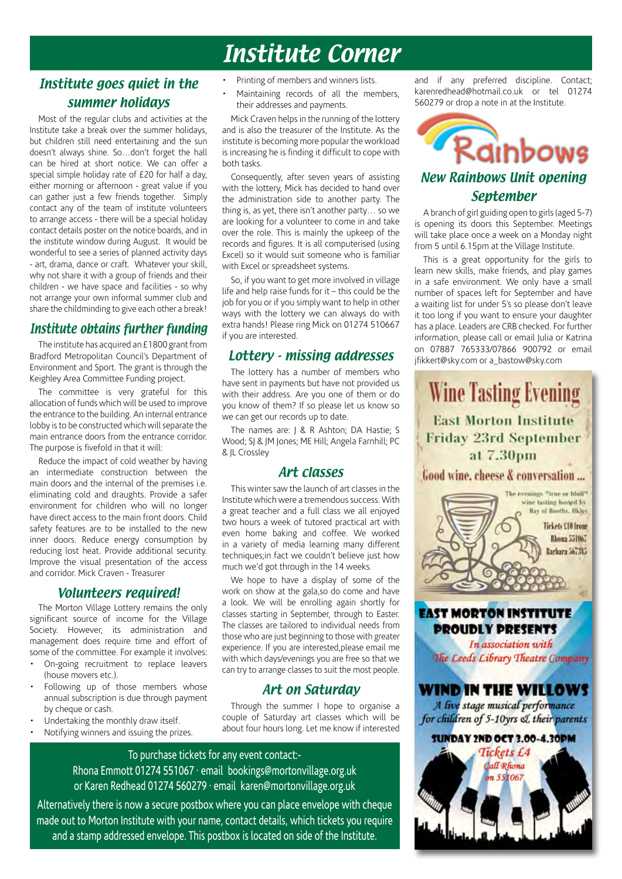### Institute Corner

#### Institute goes quiet in the summer holidays

Most of the regular clubs and activities at the Institute take a break over the summer holidays, but children still need entertaining and the sun doesn't always shine. So…don't forget the hall can be hired at short notice. We can offer a special simple holiday rate of £20 for half a day, either morning or afternoon - great value if you can gather just a few friends together. Simply contact any of the team of institute volunteers to arrange access - there will be a special holiday contact details poster on the notice boards, and in the institute window during August. It would be wonderful to see a series of planned activity days - art, drama, dance or craft. Whatever your skill, why not share it with a group of friends and their children - we have space and facilities - so why not arrange your own informal summer club and share the childminding to give each other a break!

#### Institute obtains further funding

The institute has acquired an £1800 grant from Bradford Metropolitan Council's Department of Environment and Sport. The grant is through the Keighley Area Committee Funding project.

The committee is very grateful for this allocation of funds which will be used to improve the entrance to the building. An internal entrance lobby is to be constructed which will separate the main entrance doors from the entrance corridor. The purpose is fivefold in that it will:

Reduce the impact of cold weather by having an intermediate construction between the main doors and the internal of the premises i.e. eliminating cold and draughts. Provide a safer environment for children who will no longer have direct access to the main front doors. Child safety features are to be installed to the new inner doors. Reduce energy consumption by reducing lost heat. Provide additional security. Improve the visual presentation of the access and corridor. Mick Craven - Treasurer

#### Volunteers required!

The Morton Village Lottery remains the only significant source of income for the Village Society. However, its administration and management does require time and effort of some of the committee. For example it involves:

- On-going recruitment to replace leavers (house movers etc.).
- Following up of those members whose annual subscription is due through payment by cheque or cash.
- Undertaking the monthly draw itself.
- Notifying winners and issuing the prizes.
- Printing of members and winners lists.
- Maintaining records of all the members, their addresses and payments.

Mick Craven helps in the running of the lottery and is also the treasurer of the Institute. As the institute is becoming more popular the workload is increasing he is finding it difficult to cope with both tasks.

Consequently, after seven years of assisting with the lottery. Mick has decided to hand over the administration side to another party. The thing is, as yet, there isn't another party… so we are looking for a volunteer to come in and take over the role. This is mainly the upkeep of the records and figures. It is all computerised (using Excel) so it would suit someone who is familiar with Excel or spreadsheet systems.

So, if you want to get more involved in village life and help raise funds for it – this could be the job for you or if you simply want to help in other ways with the lottery we can always do with extra hands! Please ring Mick on 01274 510667 if you are interested.

#### Lottery - missing addresses

The lottery has a number of members who have sent in payments but have not provided us with their address. Are you one of them or do you know of them? If so please let us know so we can get our records up to date.

The names are: J & R Ashton; DA Hastie; S Wood; SJ & JM Jones; ME Hill; Angela Farnhill; PC & JL Crossley

#### Art classes

This winter saw the launch of art classes in the Institute which were a tremendous success. With a great teacher and a full class we all enjoyed two hours a week of tutored practical art with even home baking and coffee. We worked in a variety of media learning many different techniques;in fact we couldn't believe just how much we'd got through in the 14 weeks.

We hope to have a display of some of the work on show at the gala,so do come and have a look. We will be enrolling again shortly for classes starting in September, through to Easter. The classes are tailored to individual needs from those who are just beginning to those with greater experience. If you are interested,please email me with which days/evenings you are free so that we can try to arrange classes to suit the most people.

#### Art on Saturday

Through the summer I hope to organise a couple of Saturday art classes which will be about four hours long. Let me know if interested

To purchase tickets for any event contact:- Rhona Emmott 01274 551067 · email bookings@mortonvillage.org.uk or Karen Redhead 01274 560279 · email karen@mortonvillage.org.uk

Alternatively there is now a secure postbox where you can place envelope with cheque made out to Morton Institute with your name, contact details, which tickets you require and a stamp addressed envelope. This postbox is located on side of the Institute.

and if any preferred discipline. Contact; karenredhead@hotmail.co.uk or tel 01274 560279 or drop a note in at the Institute.



#### September

A branch of girl guiding open to girls (aged 5-7) is opening its doors this September. Meetings will take place once a week on a Monday night from 5 until 6.15pm at the Village Institute.

This is a great opportunity for the girls to learn new skills, make friends, and play games in a safe environment. We only have a small number of spaces left for September and have a waiting list for under 5's so please don't leave it too long if you want to ensure your daughter has a place. Leaders are CRB checked. For further information, please call or email Julia or Katrina on 07887 765333/07866 900792 or email jfikkert@sky.com or a\_bastow@sky.com